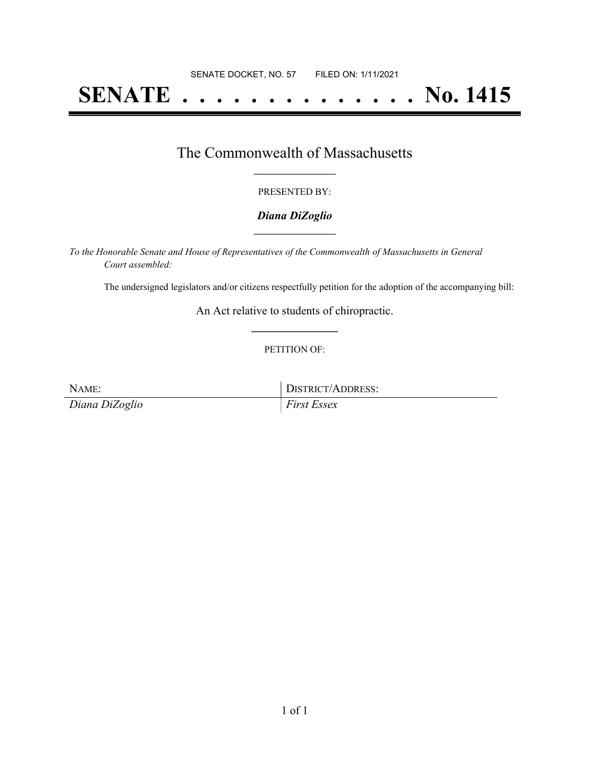# **SENATE . . . . . . . . . . . . . . No. 1415**

### The Commonwealth of Massachusetts **\_\_\_\_\_\_\_\_\_\_\_\_\_\_\_\_\_**

#### PRESENTED BY:

#### *Diana DiZoglio* **\_\_\_\_\_\_\_\_\_\_\_\_\_\_\_\_\_**

*To the Honorable Senate and House of Representatives of the Commonwealth of Massachusetts in General Court assembled:*

The undersigned legislators and/or citizens respectfully petition for the adoption of the accompanying bill:

An Act relative to students of chiropractic. **\_\_\_\_\_\_\_\_\_\_\_\_\_\_\_**

#### PETITION OF:

*Diana DiZoglio First Essex*

NAME: IDISTRICT/ADDRESS: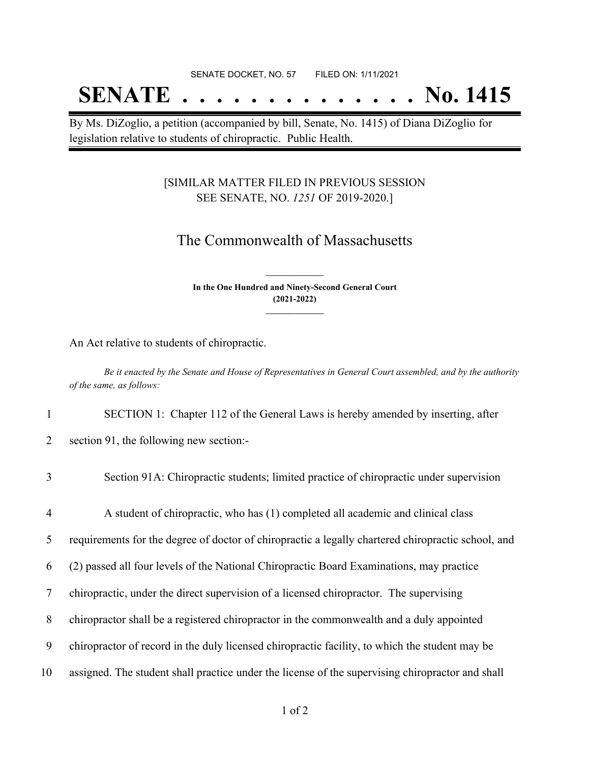## **SENATE . . . . . . . . . . . . . . No. 1415**

By Ms. DiZoglio, a petition (accompanied by bill, Senate, No. 1415) of Diana DiZoglio for legislation relative to students of chiropractic. Public Health.

#### [SIMILAR MATTER FILED IN PREVIOUS SESSION SEE SENATE, NO. *1251* OF 2019-2020.]

### The Commonwealth of Massachusetts

**In the One Hundred and Ninety-Second General Court (2021-2022) \_\_\_\_\_\_\_\_\_\_\_\_\_\_\_**

**\_\_\_\_\_\_\_\_\_\_\_\_\_\_\_**

An Act relative to students of chiropractic.

Be it enacted by the Senate and House of Representatives in General Court assembled, and by the authority *of the same, as follows:*

1 SECTION 1: Chapter 112 of the General Laws is hereby amended by inserting, after

2 section 91, the following new section:-

## 3 Section 91A: Chiropractic students; limited practice of chiropractic under supervision 4 A student of chiropractic, who has (1) completed all academic and clinical class 5 requirements for the degree of doctor of chiropractic a legally chartered chiropractic school, and 6 (2) passed all four levels of the National Chiropractic Board Examinations, may practice 7 chiropractic, under the direct supervision of a licensed chiropractor. The supervising 8 chiropractor shall be a registered chiropractor in the commonwealth and a duly appointed 9 chiropractor of record in the duly licensed chiropractic facility, to which the student may be 10 assigned. The student shall practice under the license of the supervising chiropractor and shall